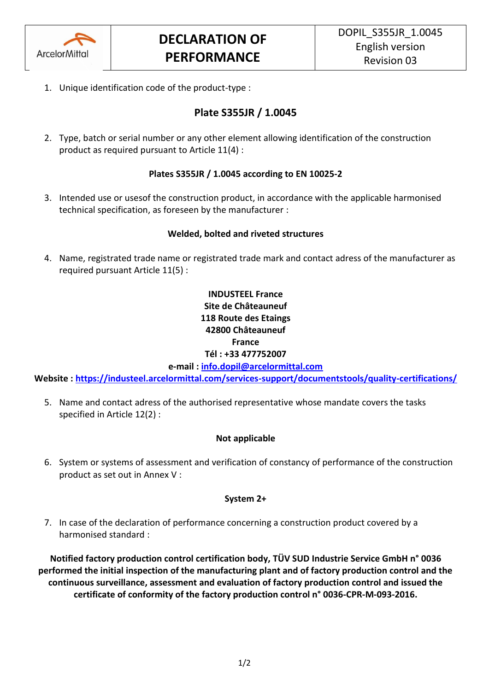

1. Unique identification code of the product-type :

# **Plate S355JR / 1.0045**

2. Type, batch or serial number or any other element allowing identification of the construction product as required pursuant to Article 11(4) :

### **Plates S355JR / 1.0045 according to EN 10025-2**

3. Intended use or usesof the construction product, in accordance with the applicable harmonised technical specification, as foreseen by the manufacturer :

### **Welded, bolted and riveted structures**

4. Name, registrated trade name or registrated trade mark and contact adress of the manufacturer as required pursuant Article 11(5) :

## **INDUSTEEL France Site de Châteauneuf 118 Route des Etaings 42800 Châteauneuf France Tél : +33 477752007**

**e-mail : [info.dopil@arcelormittal.com](mailto:info.dopil@arcelormittal.com)**

**Website :<https://industeel.arcelormittal.com/services-support/documentstools/quality-certifications/>**

5. Name and contact adress of the authorised representative whose mandate covers the tasks specified in Article 12(2) :

### **Not applicable**

6. System or systems of assessment and verification of constancy of performance of the construction product as set out in Annex V :

#### **System 2+**

7. In case of the declaration of performance concerning a construction product covered by a harmonised standard :

**Notified factory production control certification body, TÜV SUD Industrie Service GmbH n° 0036 performed the initial inspection of the manufacturing plant and of factory production control and the continuous surveillance, assessment and evaluation of factory production control and issued the certificate of conformity of the factory production control n° 0036-CPR-M-093-2016.**